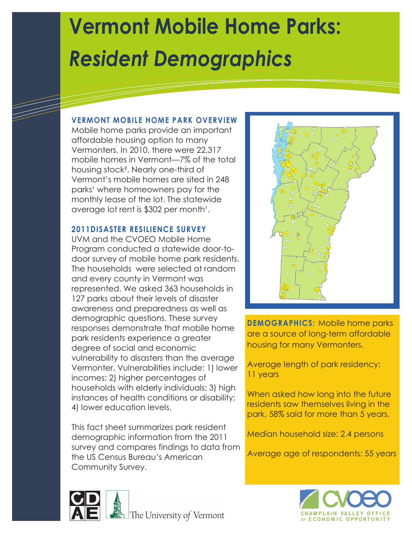# **Vermont Mobile Home Parks:** *Resident Demographics*

#### **VERMONT MOBILE HOME PARK OVERVIEW**

Mobile home parks provide an important affordable housing option to many Vermonters. In 2010, there were 22,317 mobile homes in Vermont—7% of the total housing stock². Nearly one-third of Vermont's mobile homes are sited in 248 parks<sup>1</sup> where homeowners pay for the monthly lease of the lot. The statewide average lot rent is \$302 per month<sup>1</sup>.

#### **2011DISASTER RESILIENCE SURVEY**

UVM and the CVOEO Mobile Home Program conducted a statewide door-todoor survey of mobile home park residents. The households were selected at random and every county in Vermont was represented. We asked 363 households in 127 parks about their levels of disaster awareness and preparedness as well as demographic questions. These survey responses demonstrate that mobile home park residents experience a greater degree of social and economic vulnerability to disasters than the average Vermonter. Vulnerabilities include: 1) lower incomes; 2) higher percentages of households with elderly individuals; 3) high instances of health conditions or disability; 4) lower education levels.

This fact sheet summarizes park resident demographic information from the 2011 survey and compares findings to data from the US Census Bureau's American Community Survey.



**DEMOGRAPHICS:** Mobile home parks are a source of long-term affordable housing for many Vermonters.

Average length of park residency: 11 years

When asked how long into the future residents saw themselves living in the park, 58% said for more than 5 years.

Median household size: 2.4 persons

Average age of respondents: 55 years



The University of Vermont